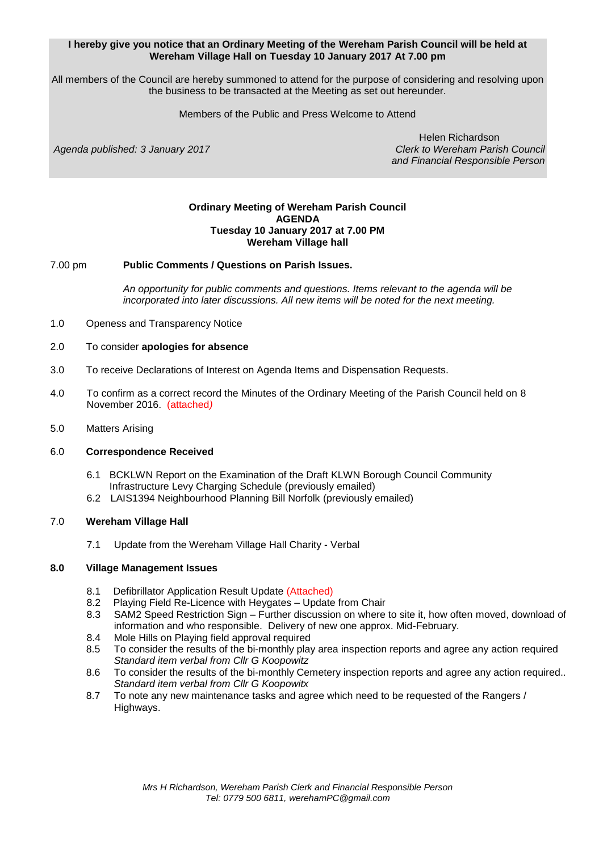### **I hereby give you notice that an Ordinary Meeting of the Wereham Parish Council will be held at Wereham Village Hall on Tuesday 10 January 2017 At 7.00 pm**

All members of the Council are hereby summoned to attend for the purpose of considering and resolving upon the business to be transacted at the Meeting as set out hereunder.

Members of the Public and Press Welcome to Attend

Agenda published: 3 January 2017

Helen Richardson<br>Clerk to Wereham Parish Council *and Financial Responsible Person*

### **Ordinary Meeting of Wereham Parish Council AGENDA Tuesday 10 January 2017 at 7.00 PM Wereham Village hall**

### 7.00 pm **Public Comments / Questions on Parish Issues.**

*An opportunity for public comments and questions. Items relevant to the agenda will be incorporated into later discussions. All new items will be noted for the next meeting.*

- 1.0 Openess and Transparency Notice
- 2.0 To consider **apologies for absence**
- 3.0 To receive Declarations of Interest on Agenda Items and Dispensation Requests.
- 4.0 To confirm as a correct record the Minutes of the Ordinary Meeting of the Parish Council held on 8 November 2016. (attached*)*
- 5.0 Matters Arising

#### 6.0 **Correspondence Received**

- 6.1 BCKLWN Report on the Examination of the Draft KLWN Borough Council Community Infrastructure Levy Charging Schedule (previously emailed)
- 6.2 LAIS1394 Neighbourhood Planning Bill Norfolk (previously emailed)

#### 7.0 **Wereham Village Hall**

7.1 Update from the Wereham Village Hall Charity - Verbal

### **8.0 Village Management Issues**

- 8.1 Defibrillator Application Result Update (Attached)
- 8.2 Playing Field Re-Licence with Heygates Update from Chair
- 8.3 SAM2 Speed Restriction Sign Further discussion on where to site it, how often moved, download of information and who responsible. Delivery of new one approx. Mid-February.
- 8.4 Mole Hills on Playing field approval required
- 8.5 To consider the results of the bi-monthly play area inspection reports and agree any action required *Standard item verbal from Cllr G Koopowitz*
- 8.6 To consider the results of the bi-monthly Cemetery inspection reports and agree any action required.. *Standard item verbal from Cllr G Koopowitx*
- 8.7 To note any new maintenance tasks and agree which need to be requested of the Rangers / Highways.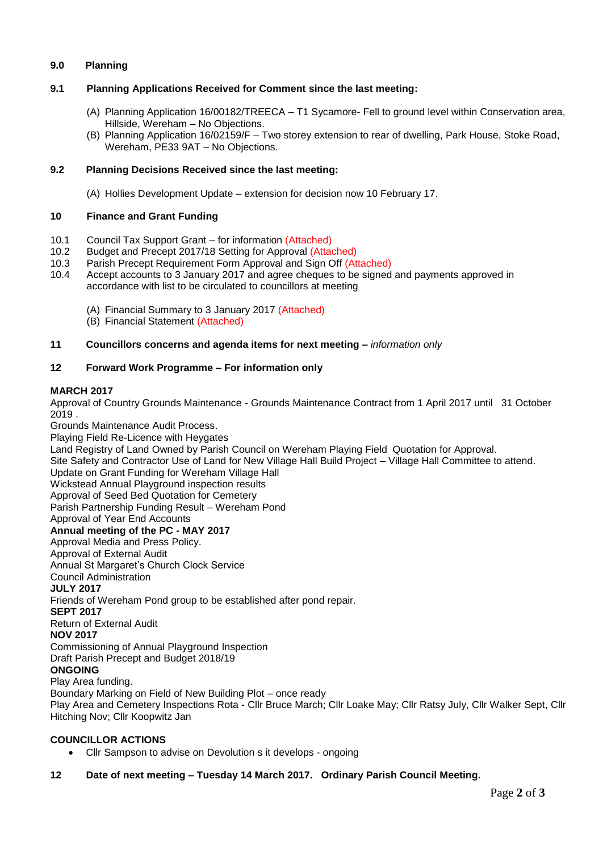## **9.0 Planning**

## **9.1 Planning Applications Received for Comment since the last meeting:**

- (A) Planning Application 16/00182/TREECA T1 Sycamore- Fell to ground level within Conservation area, Hillside, Wereham – No Objections.
- (B) Planning Application 16/02159/F Two storey extension to rear of dwelling, Park House, Stoke Road, Wereham, PE33 9AT – No Objections.

## **9.2 Planning Decisions Received since the last meeting:**

(A) Hollies Development Update – extension for decision now 10 February 17.

## **10 Finance and Grant Funding**

- 10.1 Council Tax Support Grant for information (Attached)
- 10.2 Budget and Precept 2017/18 Setting for Approval (Attached)
- 10.3 Parish Precept Requirement Form Approval and Sign Off (Attached)
- 10.4 Accept accounts to 3 January 2017 and agree cheques to be signed and payments approved in accordance with list to be circulated to councillors at meeting
	- (A) Financial Summary to 3 January 2017 (Attached)
	- (B) Financial Statement (Attached)

### **11 Councillors concerns and agenda items for next meeting –** *information only*

### **12 Forward Work Programme – For information only**

#### **MARCH 2017**

Approval of Country Grounds Maintenance - Grounds Maintenance Contract from 1 April 2017 until 31 October 2019 .

Grounds Maintenance Audit Process. Playing Field Re-Licence with Heygates Land Registry of Land Owned by Parish Council on Wereham Playing Field Quotation for Approval. Site Safety and Contractor Use of Land for New Village Hall Build Project – Village Hall Committee to attend. Update on Grant Funding for Wereham Village Hall Wickstead Annual Playground inspection results Approval of Seed Bed Quotation for Cemetery Parish Partnership Funding Result – Wereham Pond Approval of Year End Accounts **Annual meeting of the PC - MAY 2017** Approval Media and Press Policy. Approval of External Audit Annual St Margaret's Church Clock Service Council Administration **JULY 2017** Friends of Wereham Pond group to be established after pond repair. **SEPT 2017** Return of External Audit **NOV 2017** Commissioning of Annual Playground Inspection Draft Parish Precept and Budget 2018/19 **ONGOING** Play Area funding. Boundary Marking on Field of New Building Plot – once ready

Play Area and Cemetery Inspections Rota - Cllr Bruce March; Cllr Loake May; Cllr Ratsy July, Cllr Walker Sept, Cllr Hitching Nov; Cllr Koopwitz Jan

## **COUNCILLOR ACTIONS**

Cllr Sampson to advise on Devolution s it develops - ongoing

## **12 Date of next meeting – Tuesday 14 March 2017. Ordinary Parish Council Meeting.**